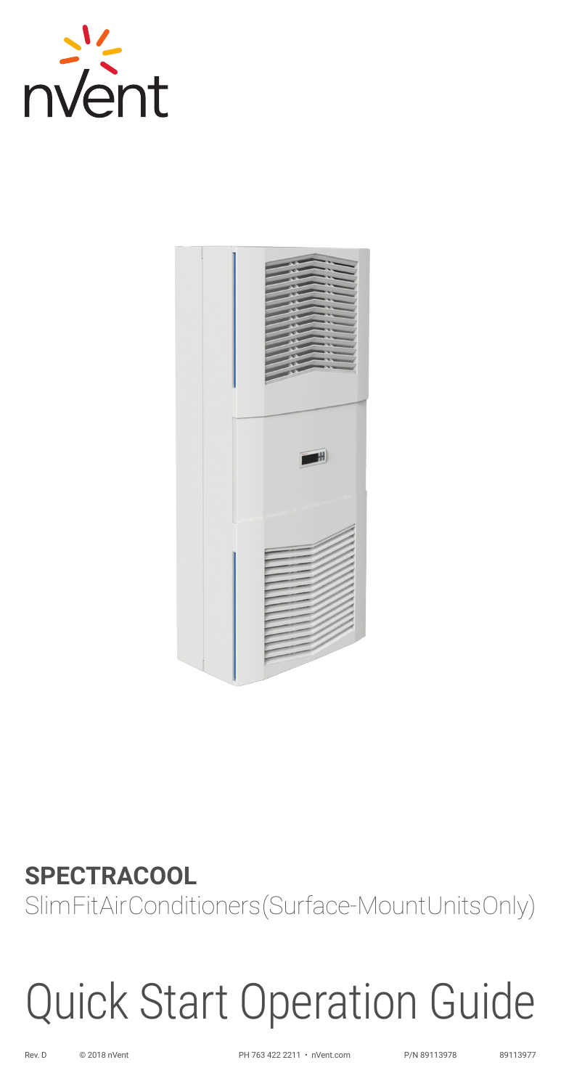



# **SPECTRACOOL** Slim Fit Air Conditioners (Surface-Mount Units Only)

# Quick Start Operation Guide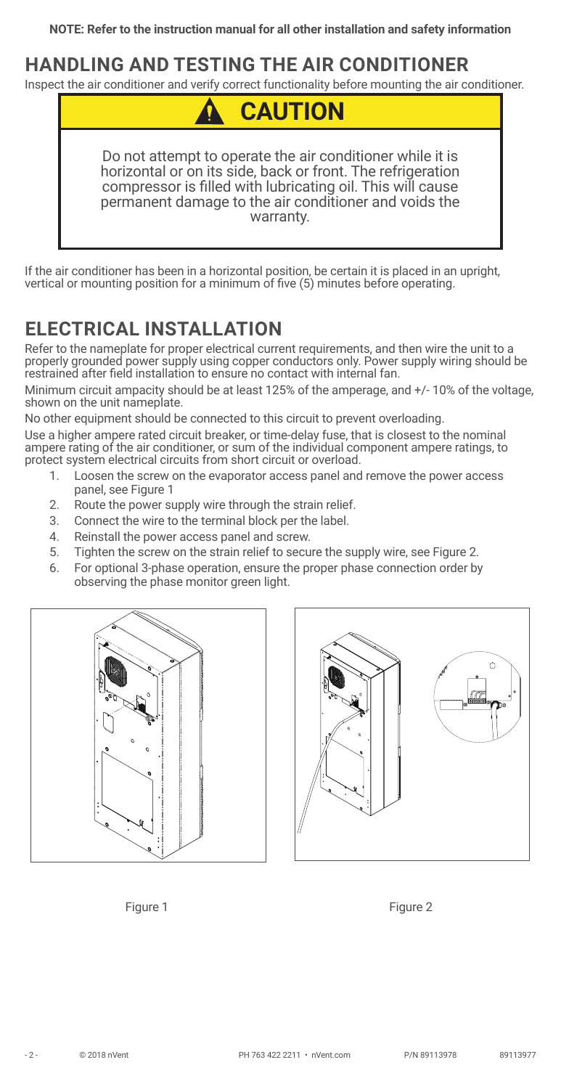#### **HANDLING AND TESTING THE AIR CONDITIONER**

Inspect the air conditioner and verify correct functionality before mounting the air conditioner.



If the air conditioner has been in a horizontal position, be certain it is placed in an upright, vertical or mounting position for a minimum of five (5) minutes before operating.

# **ELECTRICAL INSTALLATION**

Refer to the nameplate for proper electrical current requirements, and then wire the unit to a properly grounded power supply using copper conductors only. Power supply wiring should be restrained after field installation to ensure no contact with internal fan.

Minimum circuit ampacity should be at least 125% of the amperage, and +/- 10% of the voltage, shown on the unit nameplate.

No other equipment should be connected to this circuit to prevent overloading.

Use a higher ampere rated circuit breaker, or time-delay fuse, that is closest to the nominal ampere rating of the air conditioner, or sum of the individual component ampere ratings, to protect system electrical circuits from short circuit or overload.

- 1. Loosen the screw on the evaporator access panel and remove the power access panel, see [Figure 1](#page-1-0)
- 2. Route the power supply wire through the strain relief.
- 3. Connect the wire to the terminal block per the label.
- 4. Reinstall the power access panel and screw.
- 5. Tighten the screw on the strain relief to secure the supply wire, see [Figure 2](#page-1-1).
- 6. For optional 3-phase operation, ensure the proper phase connection order by observing the phase monitor green light.







<span id="page-1-1"></span><span id="page-1-0"></span>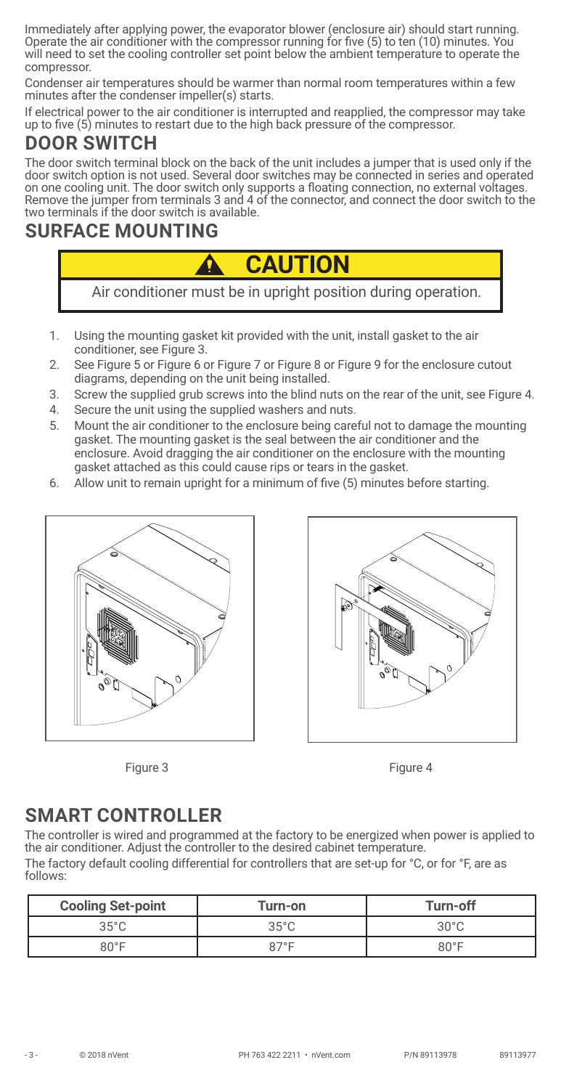Immediately after applying power, the evaporator blower (enclosure air) should start running. Operate the air conditioner with the compressor running for five (5) to ten (10) minutes. You will need to set the cooling controller set point below the ambient temperature to operate the compressor.

Condenser air temperatures should be warmer than normal room temperatures within a few minutes after the condenser impeller(s) starts.

If electrical power to the air conditioner is interrupted and reapplied, the compressor may take up to five (5) minutes to restart due to the high back pressure of the compressor.

## **DOOR SWITCH**

The door switch terminal block on the back of the unit includes a jumper that is used only if the door switch option is not used. Several door switches may be connected in series and operated on one cooling unit. The door switch only supports a floating connection, no external voltages. Remove the jumper from terminals 3 and 4 of the connector, and connect the door switch to the two terminals if the door switch is available.

#### **SURFACE MOUNTING**

Air conditioner must be in upright position during operation. **CAUTION**

- 1. Using the mounting gasket kit provided with the unit, install gasket to the air conditioner, see [Figure 3](#page-2-0).
- 2. See [Figure 5](#page-3-0) or [Figure 6](#page-3-1) or [Figure 7](#page-4-0) or [Figure 8](#page-4-1) or [Figure 9](#page-5-0) for the enclosure cutout diagrams, depending on the unit being installed.
- 3. Screw the supplied grub screws into the blind nuts on the rear of the unit, see [Figure 4](#page-2-1).
- 4. Secure the unit using the supplied washers and nuts.
- 5. Mount the air conditioner to the enclosure being careful not to damage the mounting gasket. The mounting gasket is the seal between the air conditioner and the enclosure. Avoid dragging the air conditioner on the enclosure with the mounting gasket attached as this could cause rips or tears in the gasket.
- 6. Allow unit to remain upright for a minimum of five (5) minutes before starting.



<span id="page-2-1"></span>

<span id="page-2-0"></span>



### **SMART CONTROLLER**

The controller is wired and programmed at the factory to be energized when power is applied to the air conditioner. Adjust the controller to the desired cabinet temperature. The factory default cooling differential for controllers that are set-up for °C, or for °F, are as follows:

| <b>Cooling Set-point</b> | Turn-on        | Turn-off       |
|--------------------------|----------------|----------------|
| $35^{\circ}$ C           | $35^{\circ}$ C | $30^{\circ}$ C |
| $80^{\circ}$ F           | $R7^{\circ}F$  | $80^{\circ}$ F |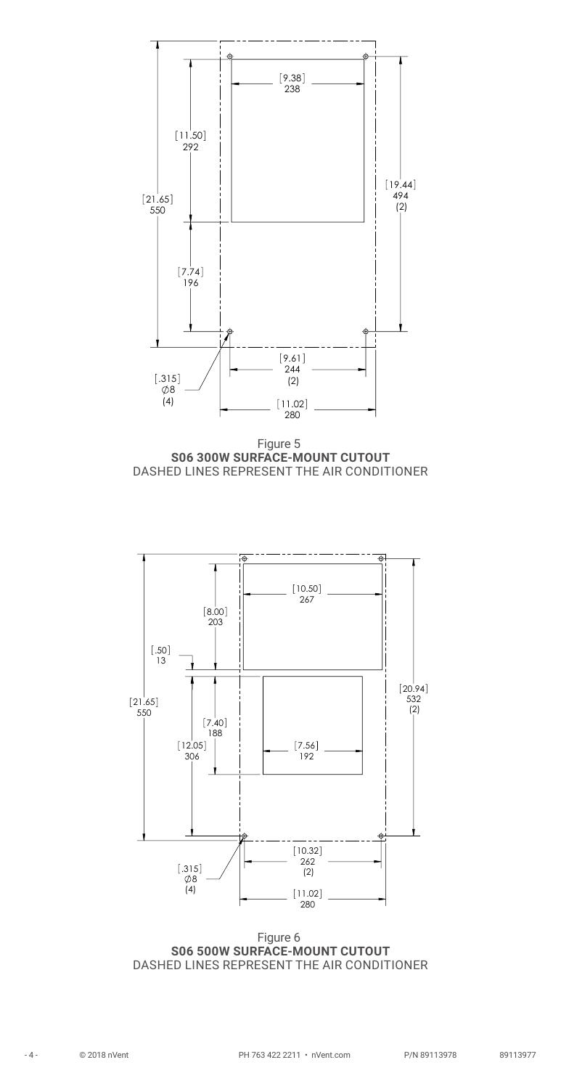

<span id="page-3-0"></span>



<span id="page-3-1"></span>Figure 6 **S06 500W SURFACE-MOUNT CUTOUT** DASHED LINES REPRESENT THE AIR CONDITIONER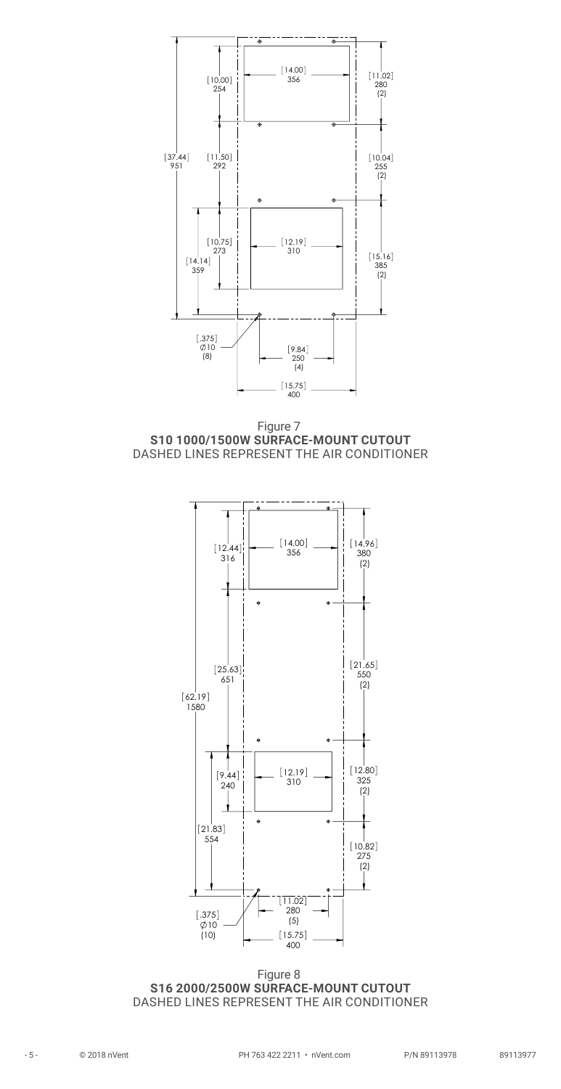



<span id="page-4-0"></span>

<span id="page-4-1"></span>